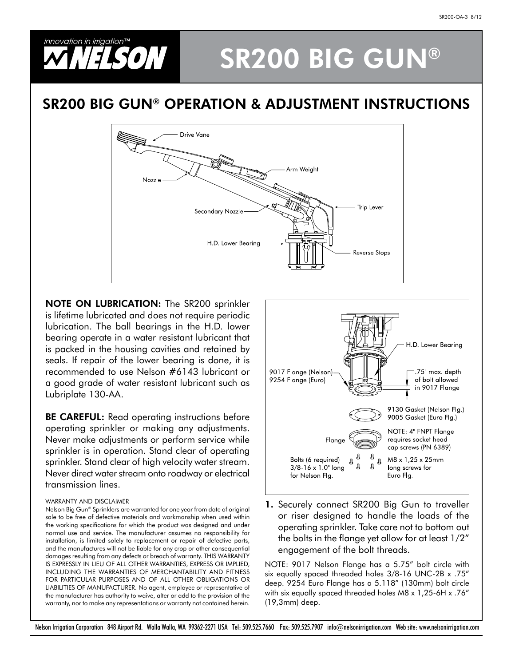

## SR200 BIG GUN®

## SR200 BIG GUN® OPERATION & adjustment INSTRUCTIONS



**NOTE ON LUBRICATION:** The SR200 sprinkler is lifetime lubricated and does not require periodic lubrication. The ball bearings in the H.D. lower bearing operate in a water resistant lubricant that is packed in the housing cavities and retained by seals. If repair of the lower bearing is done, it is recommended to use Nelson #6143 lubricant or a good grade of water resistant lubricant such as Lubriplate 130-AA.

**BE CAREFUL:** Read operating instructions before operating sprinkler or making any adjustments. Never make adjustments or perform service while sprinkler is in operation. Stand clear of operating sprinkler. Stand clear of high velocity water stream. Never direct water stream onto roadway or electrical transmission lines.

## Warranty and Disclaimer

Nelson Big Gun® Sprinklers are warranted for one year from date of original sale to be free of defective materials and workmanship when used within the working specifications for which the product was designed and under normal use and service. The manufacturer assumes no responsibility for installation, is limited solely to replacement or repair of defective parts, and the manufactures will not be liable for any crop or other consequential damages resulting from any defects or breach of warranty. THIS WARRANTY is expressly in lieu of all other warranties, express or implied, including the warranties of merchantability and fitness for particular purposes and of all other obligations or LIABILITIES OF MANUFACTURER. No agent, employee or representative of the manufacturer has authority to waive, alter or add to the provision of the warranty, nor to make any representations or warranty not contained herein.



1. Securely connect SR200 Big Gun to traveller or riser designed to handle the loads of the operating sprinkler. Take care not to bottom out the bolts in the flange yet allow for at least 1/2" engagement of the bolt threads.

NOTE: 9017 Nelson Flange has a 5.75" bolt circle with six equally spaced threaded holes 3/8-16 UNC-2B x .75" deep. 9254 Euro Flange has a 5.118" (130mm) bolt circle with six equally spaced threaded holes M8 x 1,25-6H x .76" (19,3mm) deep.

Nelson Irrigation Corporation 848 Airport Rd. Walla Walla, WA 99362-2271 USA Tel: 509.525.7660 Fax: 509.525.7907 info@nelsonirrigation.com Web site: www.nelsonirrigation.com